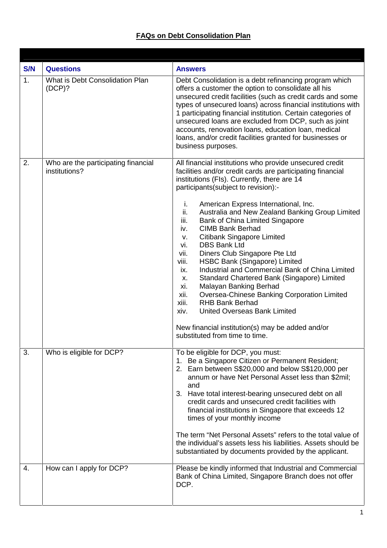## **FAQs on Debt Consolidation Plan**

| S/N<br>1. | <b>Questions</b><br>What is Debt Consolidation Plan<br>(DCP)? | <b>Answers</b><br>Debt Consolidation is a debt refinancing program which<br>offers a customer the option to consolidate all his<br>unsecured credit facilities (such as credit cards and some<br>types of unsecured loans) across financial institutions with<br>1 participating financial institution. Certain categories of<br>unsecured loans are excluded from DCP, such as joint<br>accounts, renovation loans, education loan, medical<br>loans, and/or credit facilities granted for businesses or<br>business purposes.                                                                                                                                                                                                                                                                                                                                                                                                             |
|-----------|---------------------------------------------------------------|---------------------------------------------------------------------------------------------------------------------------------------------------------------------------------------------------------------------------------------------------------------------------------------------------------------------------------------------------------------------------------------------------------------------------------------------------------------------------------------------------------------------------------------------------------------------------------------------------------------------------------------------------------------------------------------------------------------------------------------------------------------------------------------------------------------------------------------------------------------------------------------------------------------------------------------------|
| 2.        | Who are the participating financial<br>institutions?          | All financial institutions who provide unsecured credit<br>facilities and/or credit cards are participating financial<br>institutions (FIs). Currently, there are 14<br>participants(subject to revision):-<br>j.<br>American Express International, Inc.<br>ii.<br>Australia and New Zealand Banking Group Limited<br>iii.<br>Bank of China Limited Singapore<br>iv.<br><b>CIMB Bank Berhad</b><br><b>Citibank Singapore Limited</b><br>V.<br>vi.<br><b>DBS Bank Ltd</b><br>vii.<br>Diners Club Singapore Pte Ltd<br>HSBC Bank (Singapore) Limited<br>viii.<br>Industrial and Commercial Bank of China Limited<br>ix.<br>Standard Chartered Bank (Singapore) Limited<br>Х.<br>xi.<br>Malayan Banking Berhad<br>Oversea-Chinese Banking Corporation Limited<br>xii.<br><b>RHB Bank Berhad</b><br>xiii.<br><b>United Overseas Bank Limited</b><br>xiv.<br>New financial institution(s) may be added and/or<br>substituted from time to time. |
| 3.        | Who is eligible for DCP?                                      | To be eligible for DCP, you must:<br>Be a Singapore Citizen or Permanent Resident;<br>1.<br>2. Earn between S\$20,000 and below S\$120,000 per<br>annum or have Net Personal Asset less than \$2mil;<br>and<br>3. Have total interest-bearing unsecured debt on all<br>credit cards and unsecured credit facilities with<br>financial institutions in Singapore that exceeds 12<br>times of your monthly income<br>The term "Net Personal Assets" refers to the total value of<br>the individual's assets less his liabilities. Assets should be<br>substantiated by documents provided by the applicant.                                                                                                                                                                                                                                                                                                                                   |
| 4.        | How can I apply for DCP?                                      | Please be kindly informed that Industrial and Commercial<br>Bank of China Limited, Singapore Branch does not offer<br>DCP.                                                                                                                                                                                                                                                                                                                                                                                                                                                                                                                                                                                                                                                                                                                                                                                                                  |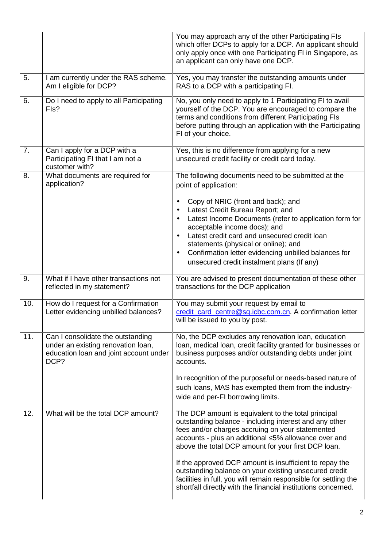|     |                                                                                                                           | You may approach any of the other Participating FIs<br>which offer DCPs to apply for a DCP. An applicant should<br>only apply once with one Participating FI in Singapore, as<br>an applicant can only have one DCP.                                                                                                                                                                          |
|-----|---------------------------------------------------------------------------------------------------------------------------|-----------------------------------------------------------------------------------------------------------------------------------------------------------------------------------------------------------------------------------------------------------------------------------------------------------------------------------------------------------------------------------------------|
| 5.  | I am currently under the RAS scheme.<br>Am I eligible for DCP?                                                            | Yes, you may transfer the outstanding amounts under<br>RAS to a DCP with a participating FI.                                                                                                                                                                                                                                                                                                  |
| 6.  | Do I need to apply to all Participating<br>Fls?                                                                           | No, you only need to apply to 1 Participating FI to avail<br>yourself of the DCP. You are encouraged to compare the<br>terms and conditions from different Participating FIs<br>before putting through an application with the Participating<br>FI of your choice.                                                                                                                            |
| 7.  | Can I apply for a DCP with a<br>Participating FI that I am not a<br>customer with?                                        | Yes, this is no difference from applying for a new<br>unsecured credit facility or credit card today.                                                                                                                                                                                                                                                                                         |
| 8.  | What documents are required for<br>application?                                                                           | The following documents need to be submitted at the<br>point of application:                                                                                                                                                                                                                                                                                                                  |
|     |                                                                                                                           | Copy of NRIC (front and back); and<br>٠<br>Latest Credit Bureau Report; and<br>$\bullet$<br>Latest Income Documents (refer to application form for<br>$\bullet$<br>acceptable income docs); and<br>Latest credit card and unsecured credit loan<br>statements (physical or online); and<br>Confirmation letter evidencing unbilled balances for<br>unsecured credit instalment plans (If any) |
| 9.  | What if I have other transactions not<br>reflected in my statement?                                                       | You are advised to present documentation of these other<br>transactions for the DCP application                                                                                                                                                                                                                                                                                               |
| 10. | How do I request for a Confirmation<br>Letter evidencing unbilled balances?                                               | You may submit your request by email to<br>credit_card_centre@sg.icbc.com.cn. A confirmation letter<br>will be issued to you by post.                                                                                                                                                                                                                                                         |
| 11. | Can I consolidate the outstanding<br>under an existing renovation loan,<br>education loan and joint account under<br>DCP? | No, the DCP excludes any renovation loan, education<br>loan, medical loan, credit facility granted for businesses or<br>business purposes and/or outstanding debts under joint<br>accounts.                                                                                                                                                                                                   |
|     |                                                                                                                           | In recognition of the purposeful or needs-based nature of<br>such loans, MAS has exempted them from the industry-<br>wide and per-FI borrowing limits.                                                                                                                                                                                                                                        |
| 12. | What will be the total DCP amount?                                                                                        | The DCP amount is equivalent to the total principal<br>outstanding balance - including interest and any other<br>fees and/or charges accruing on your statemented<br>accounts - plus an additional 5% allowance over and<br>above the total DCP amount for your first DCP loan.                                                                                                               |
|     |                                                                                                                           | If the approved DCP amount is insufficient to repay the<br>outstanding balance on your existing unsecured credit<br>facilities in full, you will remain responsible for settling the<br>shortfall directly with the financial institutions concerned.                                                                                                                                         |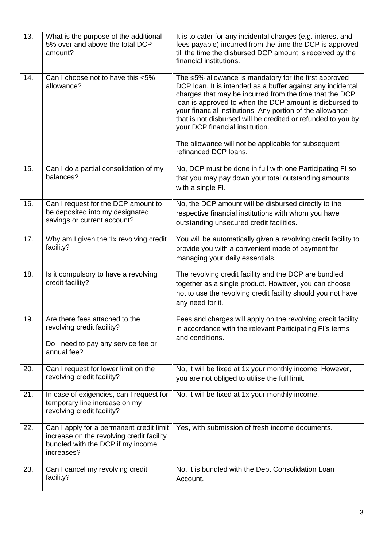| 13. | What is the purpose of the additional<br>5% over and above the total DCP<br>amount?                                                      | It is to cater for any incidental charges (e.g. interest and<br>fees payable) incurred from the time the DCP is approved<br>till the time the disbursed DCP amount is received by the<br>financial institutions.                                                                                                                                                                                                                                                                          |
|-----|------------------------------------------------------------------------------------------------------------------------------------------|-------------------------------------------------------------------------------------------------------------------------------------------------------------------------------------------------------------------------------------------------------------------------------------------------------------------------------------------------------------------------------------------------------------------------------------------------------------------------------------------|
| 14. | Can I choose not to have this <5%<br>allowance?                                                                                          | The 5% allowance is mandatory for the first approved<br>DCP loan. It is intended as a buffer against any incidental<br>charges that may be incurred from the time that the DCP<br>loan is approved to when the DCP amount is disbursed to<br>your financial institutions. Any portion of the allowance<br>that is not disbursed will be credited or refunded to you by<br>your DCP financial institution.<br>The allowance will not be applicable for subsequent<br>refinanced DCP loans. |
| 15. | Can I do a partial consolidation of my<br>balances?                                                                                      | No, DCP must be done in full with one Participating FI so<br>that you may pay down your total outstanding amounts<br>with a single FI.                                                                                                                                                                                                                                                                                                                                                    |
| 16. | Can I request for the DCP amount to<br>be deposited into my designated<br>savings or current account?                                    | No, the DCP amount will be disbursed directly to the<br>respective financial institutions with whom you have<br>outstanding unsecured credit facilities.                                                                                                                                                                                                                                                                                                                                  |
| 17. | Why am I given the 1x revolving credit<br>facility?                                                                                      | You will be automatically given a revolving credit facility to<br>provide you with a convenient mode of payment for<br>managing your daily essentials.                                                                                                                                                                                                                                                                                                                                    |
| 18. | Is it compulsory to have a revolving<br>credit facility?                                                                                 | The revolving credit facility and the DCP are bundled<br>together as a single product. However, you can choose<br>not to use the revolving credit facility should you not have<br>any need for it.                                                                                                                                                                                                                                                                                        |
| 19. | Are there fees attached to the<br>revolving credit facility?<br>Do I need to pay any service fee or<br>annual fee?                       | Fees and charges will apply on the revolving credit facility<br>in accordance with the relevant Participating FI's terms<br>and conditions.                                                                                                                                                                                                                                                                                                                                               |
| 20. | Can I request for lower limit on the<br>revolving credit facility?                                                                       | No, it will be fixed at 1x your monthly income. However,<br>you are not obliged to utilise the full limit.                                                                                                                                                                                                                                                                                                                                                                                |
| 21. | In case of exigencies, can I request for<br>temporary line increase on my<br>revolving credit facility?                                  | No, it will be fixed at 1x your monthly income.                                                                                                                                                                                                                                                                                                                                                                                                                                           |
| 22. | Can I apply for a permanent credit limit<br>increase on the revolving credit facility<br>bundled with the DCP if my income<br>increases? | Yes, with submission of fresh income documents.                                                                                                                                                                                                                                                                                                                                                                                                                                           |
| 23. | Can I cancel my revolving credit<br>facility?                                                                                            | No, it is bundled with the Debt Consolidation Loan<br>Account.                                                                                                                                                                                                                                                                                                                                                                                                                            |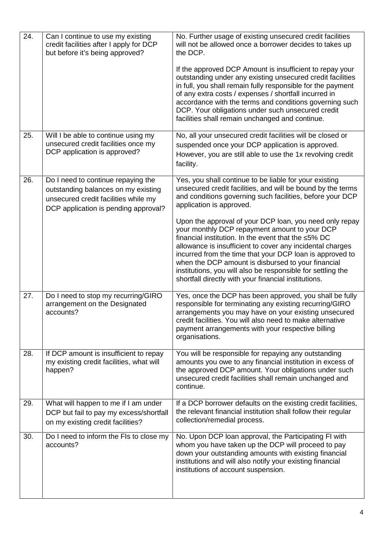| 24. | Can I continue to use my existing<br>credit facilities after I apply for DCP<br>but before it's being approved?                                           | No. Further usage of existing unsecured credit facilities<br>will not be allowed once a borrower decides to takes up<br>the DCP.<br>If the approved DCP Amount is insufficient to repay your<br>outstanding under any existing unsecured credit facilities<br>in full, you shall remain fully responsible for the payment<br>of any extra costs / expenses / shortfall incurred in<br>accordance with the terms and conditions governing such<br>DCP. Your obligations under such unsecured credit<br>facilities shall remain unchanged and continue. |
|-----|-----------------------------------------------------------------------------------------------------------------------------------------------------------|-------------------------------------------------------------------------------------------------------------------------------------------------------------------------------------------------------------------------------------------------------------------------------------------------------------------------------------------------------------------------------------------------------------------------------------------------------------------------------------------------------------------------------------------------------|
| 25. | Will I be able to continue using my<br>unsecured credit facilities once my<br>DCP application is approved?                                                | No, all your unsecured credit facilities will be closed or<br>suspended once your DCP application is approved.<br>However, you are still able to use the 1x revolving credit<br>facility.                                                                                                                                                                                                                                                                                                                                                             |
| 26. | Do I need to continue repaying the<br>outstanding balances on my existing<br>unsecured credit facilities while my<br>DCP application is pending approval? | Yes, you shall continue to be liable for your existing<br>unsecured credit facilities, and will be bound by the terms<br>and conditions governing such facilities, before your DCP<br>application is approved.                                                                                                                                                                                                                                                                                                                                        |
|     |                                                                                                                                                           | Upon the approval of your DCP loan, you need only repay<br>your monthly DCP repayment amount to your DCP<br>financial institution. In the event that the 5% DC<br>allowance is insufficient to cover any incidental charges<br>incurred from the time that your DCP loan is approved to<br>when the DCP amount is disbursed to your financial<br>institutions, you will also be responsible for settling the<br>shortfall directly with your financial institutions.                                                                                  |
| 27. | Do I need to stop my recurring/GIRO<br>arrangement on the Designated<br>accounts?                                                                         | Yes, once the DCP has been approved, you shall be fully<br>responsible for terminating any existing recurring/GIRO<br>arrangements you may have on your existing unsecured<br>credit facilities. You will also need to make alternative<br>payment arrangements with your respective billing<br>organisations.                                                                                                                                                                                                                                        |
| 28. | If DCP amount is insufficient to repay<br>my existing credit facilities, what will<br>happen?                                                             | You will be responsible for repaying any outstanding<br>amounts you owe to any financial institution in excess of<br>the approved DCP amount. Your obligations under such<br>unsecured credit facilities shall remain unchanged and<br>continue.                                                                                                                                                                                                                                                                                                      |
| 29. | What will happen to me if I am under<br>DCP but fail to pay my excess/shortfall<br>on my existing credit facilities?                                      | If a DCP borrower defaults on the existing credit facilities,<br>the relevant financial institution shall follow their regular<br>collection/remedial process.                                                                                                                                                                                                                                                                                                                                                                                        |
| 30. | Do I need to inform the FIs to close my<br>accounts?                                                                                                      | No. Upon DCP loan approval, the Participating FI with<br>whom you have taken up the DCP will proceed to pay<br>down your outstanding amounts with existing financial<br>institutions and will also notify your existing financial<br>institutions of account suspension.                                                                                                                                                                                                                                                                              |
|     |                                                                                                                                                           |                                                                                                                                                                                                                                                                                                                                                                                                                                                                                                                                                       |